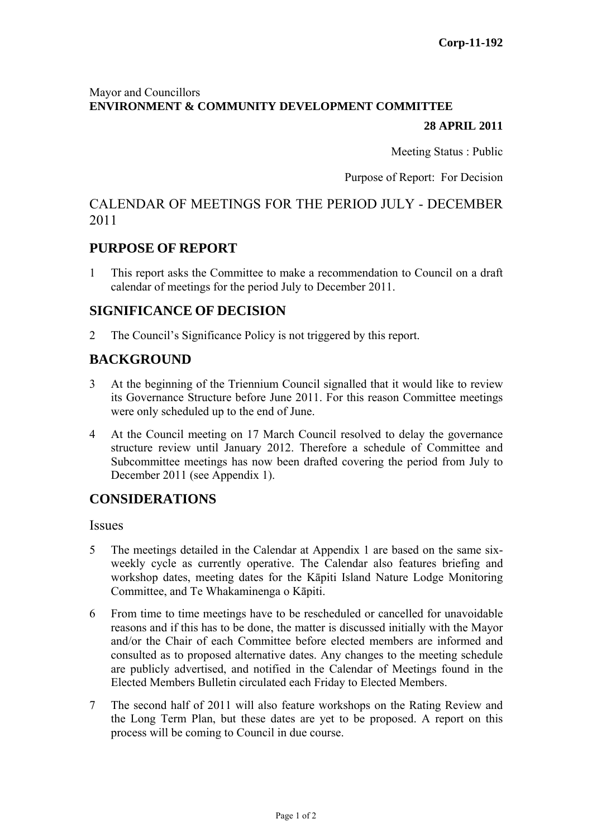### Mayor and Councillors **ENVIRONMENT & COMMUNITY DEVELOPMENT COMMITTEE**

#### **28 APRIL 2011**

Meeting Status : Public

Purpose of Report: For Decision

# CALENDAR OF MEETINGS FOR THE PERIOD JULY - DECEMBER 2011

### **PURPOSE OF REPORT**

1 This report asks the Committee to make a recommendation to Council on a draft calendar of meetings for the period July to December 2011.

### **SIGNIFICANCE OF DECISION**

2 The Council's Significance Policy is not triggered by this report.

### **BACKGROUND**

- 3 At the beginning of the Triennium Council signalled that it would like to review its Governance Structure before June 2011. For this reason Committee meetings were only scheduled up to the end of June.
- 4 At the Council meeting on 17 March Council resolved to delay the governance structure review until January 2012. Therefore a schedule of Committee and Subcommittee meetings has now been drafted covering the period from July to December 2011 (see Appendix 1).

### **CONSIDERATIONS**

**Issues** 

- 5 The meetings detailed in the Calendar at Appendix 1 are based on the same sixweekly cycle as currently operative. The Calendar also features briefing and workshop dates, meeting dates for the Kāpiti Island Nature Lodge Monitoring Committee, and Te Whakaminenga o Kāpiti.
- 6 From time to time meetings have to be rescheduled or cancelled for unavoidable reasons and if this has to be done, the matter is discussed initially with the Mayor and/or the Chair of each Committee before elected members are informed and consulted as to proposed alternative dates. Any changes to the meeting schedule are publicly advertised, and notified in the Calendar of Meetings found in the Elected Members Bulletin circulated each Friday to Elected Members.
- 7 The second half of 2011 will also feature workshops on the Rating Review and the Long Term Plan, but these dates are yet to be proposed. A report on this process will be coming to Council in due course.